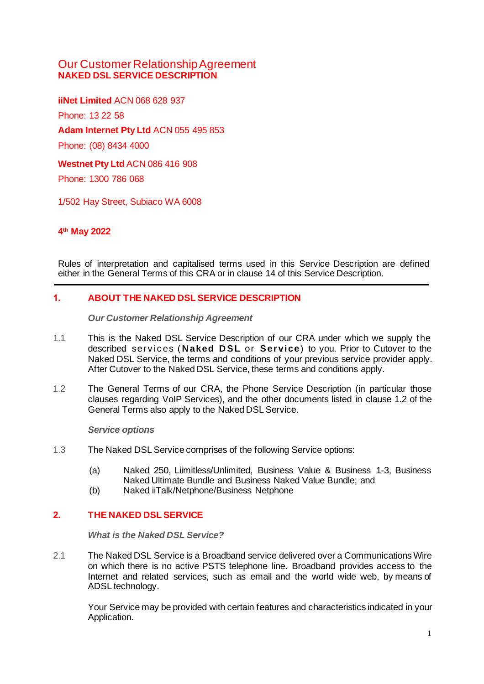# Our Customer Relationship Agreement **NAKED DSL SERVICE DESCRIPTION**

**iiNet Limited** ACN 068 628 937 Phone: 13 22 58 **Adam Internet Pty Ltd** ACN 055 495 853 Phone: (08) 8434 4000 **Westnet Pty Ltd** ACN 086 416 908 Phone: 1300 786 068

1/502 Hay Street, Subiaco WA 6008

# **4 th May 2022**

Rules of interpretation and capitalised terms used in this Service Description are defined either in the General Terms of this CRA or in clause 14 of this Service Description.

# **1. ABOUT THE NAKED DSL SERVICE DESCRIPTION**

*Our Customer Relationship Agreement*

- 1.1 This is the Naked DSL Service Description of our CRA under which we supply the described serv ic es ( **N aked D SL** or **Ser vice**) to you. Prior to Cutover to the Naked DSL Service, the terms and conditions of your previous service provider apply. After Cutover to the Naked DSL Service, these terms and conditions apply.
- 1.2 The General Terms of our CRA, the Phone Service Description (in particular those clauses regarding VoIP Services), and the other documents listed in clause 1.2 of the General Terms also apply to the Naked DSL Service.

*Service options*

- 1.3 The Naked DSL Service comprises of the following Service options:
	- (a) Naked 250, Liimitless/Unlimited, Business Value & Business 1-3, Business Naked Ultimate Bundle and Business Naked Value Bundle; and
	- (b) Naked iiTalk/Netphone/Business Netphone

# **2. THE NAKED DSL SERVICE**

*What is the Naked DSL Service?*

2.1 The Naked DSL Service is a Broadband service delivered over a Communications Wire on which there is no active PSTS telephone line. Broadband provides access to the Internet and related services, such as email and the world wide web, by means of ADSL technology.

Your Service may be provided with certain features and characteristics indicated in your Application.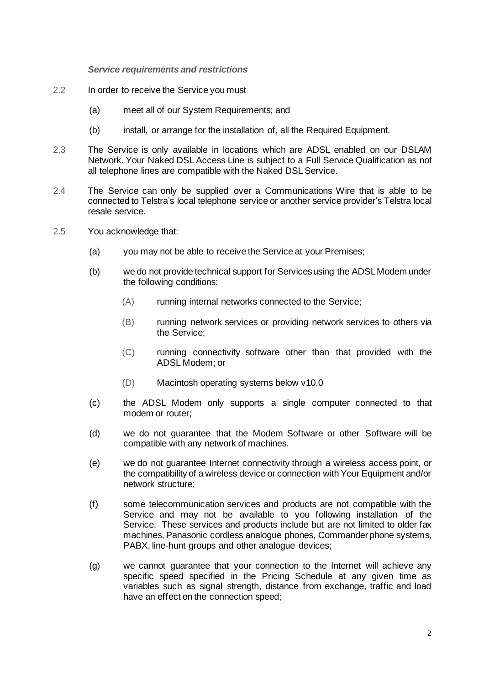*Service requirements and restrictions*

- 2.2 In order to receive the Service you must
	- (a) meet all of our System Requirements; and
	- (b) install, or arrange for the installation of, all the Required Equipment.
- 2.3 The Service is only available in locations which are ADSL enabled on our DSLAM Network. Your Naked DSL Access Line is subject to a Full Service Qualification as not all telephone lines are compatible with the Naked DSL Service.
- 2.4 The Service can only be supplied over a Communications Wire that is able to be connected to Telstra's local telephone service or another service provider's Telstra local resale service.
- 2.5 You acknowledge that:
	- (a) you may not be able to receive the Service at your Premises;
	- (b) we do not provide technical support for Servicesusing the ADSLModem under the following conditions:
		- (A) running internal networks connected to the Service;
		- (B) running network services or providing network services to others via the Service;
		- (C) running connectivity software other than that provided with the ADSL Modem; or
		- (D) Macintosh operating systems below v10.0
	- (c) the ADSL Modem only supports a single computer connected to that modem or router;
	- (d) we do not guarantee that the Modem Software or other Software will be compatible with any network of machines.
	- (e) we do not guarantee Internet connectivity through a wireless access point, or the compatibility of a wireless device or connection with Your Equipment and/or network structure;
	- (f) some telecommunication services and products are not compatible with the Service and may not be available to you following installation of the Service. These services and products include but are not limited to older fax machines, Panasonic cordless analogue phones, Commanderphone systems, PABX, line-hunt groups and other analogue devices;
	- (g) we cannot guarantee that your connection to the Internet will achieve any specific speed specified in the Pricing Schedule at any given time as variables such as signal strength, distance from exchange, traffic and load have an effect on the connection speed;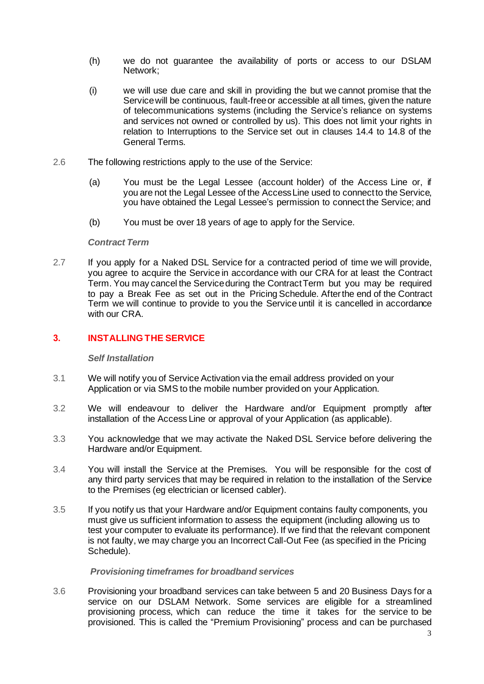- (h) we do not guarantee the availability of ports or access to our DSLAM Network;
- (i) we will use due care and skill in providing the but we cannot promise that the Servicewill be continuous, fault-freeor accessible at all times, given the nature of telecommunications systems (including the Service's reliance on systems and services not owned or controlled by us). This does not limit your rights in relation to Interruptions to the Service set out in clauses 14.4 to 14.8 of the General Terms.
- 2.6 The following restrictions apply to the use of the Service:
	- (a) You must be the Legal Lessee (account holder) of the Access Line or, if you are not the Legal Lessee of the AccessLine used to connect to the Service, you have obtained the Legal Lessee's permission to connect the Service; and
	- (b) You must be over 18 years of age to apply for the Service.

## *Contract Term*

2.7 If you apply for a Naked DSL Service for a contracted period of time we will provide, you agree to acquire the Service in accordance with our CRA for at least the Contract Term. You may cancel the Serviceduring the Contract Term but you may be required to pay a Break Fee as set out in the Pricing Schedule. Afterthe end of the Contract Term we will continue to provide to you the Service until it is cancelled in accordance with our CRA.

# **3. INSTALLING THE SERVICE**

### *Self Installation*

- 3.1 We will notify you of Service Activation via the email address provided on your Application or via SMS to the mobile number provided on your Application.
- 3.2 We will endeavour to deliver the Hardware and/or Equipment promptly after installation of the Access Line or approval of your Application (as applicable).
- 3.3 You acknowledge that we may activate the Naked DSL Service before delivering the Hardware and/or Equipment.
- 3.4 You will install the Service at the Premises. You will be responsible for the cost of any third party services that may be required in relation to the installation of the Service to the Premises (eg electrician or licensed cabler).
- 3.5 If you notify us that your Hardware and/or Equipment contains faulty components, you must give us sufficient information to assess the equipment (including allowing us to test your computer to evaluate its performance). If we find that the relevant component is not faulty, we may charge you an Incorrect Call-Out Fee (as specified in the Pricing Schedule).

### *Provisioning timeframes for broadband services*

3.6 Provisioning your broadband services can take between 5 and 20 Business Days for a service on our DSLAM Network. Some services are eligible for a streamlined provisioning process, which can reduce the time it takes for the service to be provisioned. This is called the "Premium Provisioning" process and can be purchased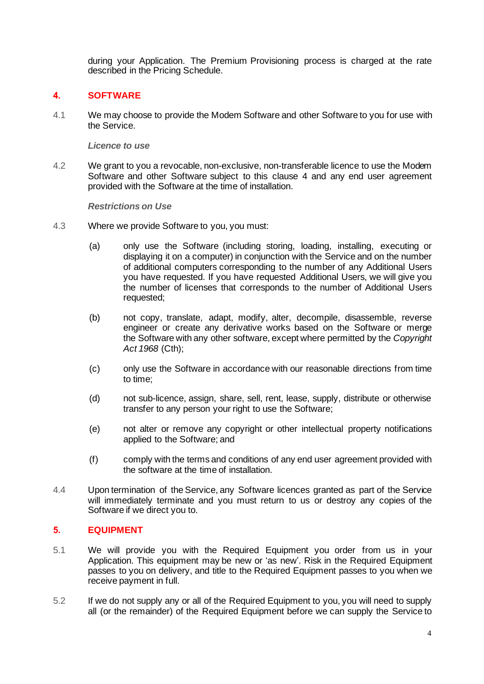during your Application. The Premium Provisioning process is charged at the rate described in the Pricing Schedule.

# **4. SOFTWARE**

4.1 We may choose to provide the Modem Software and other Software to you for use with the Service.

## *Licence to use*

4.2 We grant to you a revocable, non-exclusive, non-transferable licence to use the Modem Software and other Software subject to this clause 4 and any end user agreement provided with the Software at the time of installation.

*Restrictions on Use*

- 4.3 Where we provide Software to you, you must:
	- (a) only use the Software (including storing, loading, installing, executing or displaying it on a computer) in conjunction with the Service and on the number of additional computers corresponding to the number of any Additional Users you have requested. If you have requested Additional Users, we will give you the number of licenses that corresponds to the number of Additional Users requested;
	- (b) not copy, translate, adapt, modify, alter, decompile, disassemble, reverse engineer or create any derivative works based on the Software or merge the Software with any other software, except where permitted by the *Copyright Act 1968* (Cth);
	- (c) only use the Software in accordance with our reasonable directions from time to time;
	- (d) not sub-licence, assign, share, sell, rent, lease, supply, distribute or otherwise transfer to any person your right to use the Software;
	- (e) not alter or remove any copyright or other intellectual property notifications applied to the Software; and
	- (f) comply with the terms and conditions of any end user agreement provided with the software at the time of installation.
- 4.4 Upon termination of the Service, any Software licences granted as part of the Service will immediately terminate and you must return to us or destroy any copies of the Software if we direct you to.

# **5. EQUIPMENT**

- 5.1 We will provide you with the Required Equipment you order from us in your Application. This equipment may be new or 'as new'. Risk in the Required Equipment passes to you on delivery, and title to the Required Equipment passes to you when we receive payment in full.
- 5.2 If we do not supply any or all of the Required Equipment to you, you will need to supply all (or the remainder) of the Required Equipment before we can supply the Service to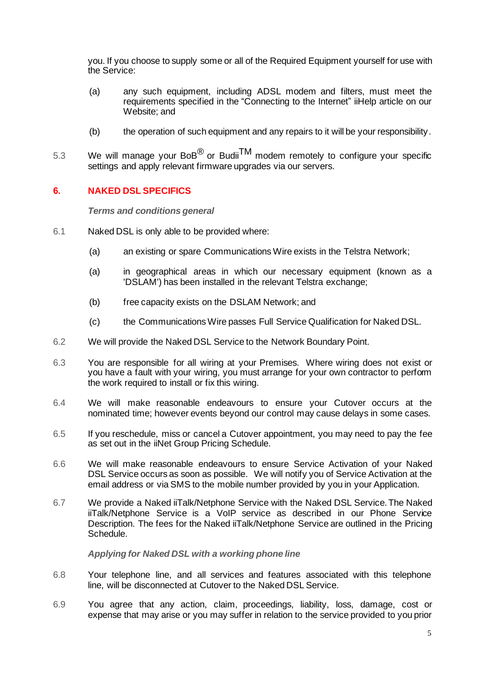you. If you choose to supply some or all of the Required Equipment yourself for use with the Service:

- (a) any such equipment, including ADSL modem and filters, must meet the requirements specified in the "Connecting to the Internet" iiHelp article on our Website; and
- (b) the operation of such equipment and any repairs to it will be your responsibility.
- 5.3 We will manage your BoB $^{\circledR}$  or Budii $^{\mathsf{TM}}$  modem remotely to configure your specific settings and apply relevant firmware upgrades via our servers.

## **6. NAKED DSL SPECIFICS**

*Terms and conditions general*

- 6.1 Naked DSL is only able to be provided where:
	- (a) an existing or spare Communications Wire exists in the Telstra Network;
	- (a) in geographical areas in which our necessary equipment (known as a 'DSLAM') has been installed in the relevant Telstra exchange;
	- (b) free capacity exists on the DSLAM Network; and
	- (c) the Communications Wire passes Full Service Qualification for Naked DSL.
- 6.2 We will provide the Naked DSL Service to the Network Boundary Point.
- 6.3 You are responsible for all wiring at your Premises. Where wiring does not exist or you have a fault with your wiring, you must arrange for your own contractor to perform the work required to install or fix this wiring.
- 6.4 We will make reasonable endeavours to ensure your Cutover occurs at the nominated time; however events beyond our control may cause delays in some cases.
- 6.5 If you reschedule, miss or cancel a Cutover appointment, you may need to pay the fee as set out in the iiNet Group Pricing Schedule.
- 6.6 We will make reasonable endeavours to ensure Service Activation of your Naked DSL Service occurs as soon as possible. We will notify you of Service Activation at the email address or via SMS to the mobile number provided by you in your Application.
- 6.7 We provide a Naked iiTalk/Netphone Service with the Naked DSL Service. The Naked iiTalk/Netphone Service is a VoIP service as described in our Phone Service Description. The fees for the Naked iiTalk/Netphone Service are outlined in the Pricing Schedule.

### *Applying for Naked DSL with a working phone line*

- 6.8 Your telephone line, and all services and features associated with this telephone line, will be disconnected at Cutover to the Naked DSL Service.
- 6.9 You agree that any action, claim, proceedings, liability, loss, damage, cost or expense that may arise or you may suffer in relation to the service provided to you prior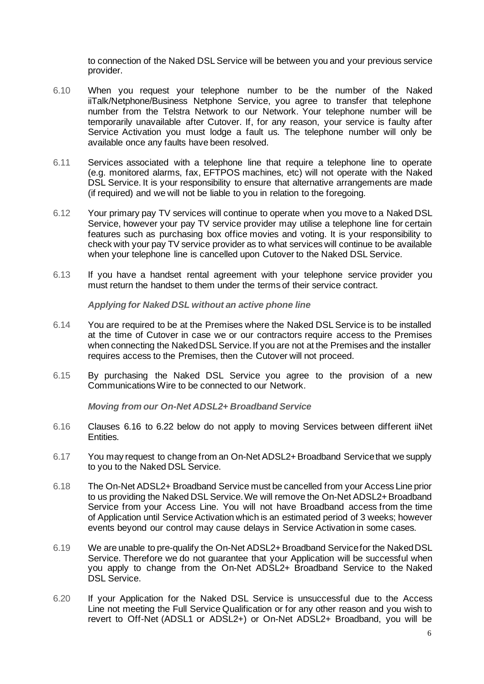to connection of the Naked DSL Service will be between you and your previous service provider.

- 6.10 When you request your telephone number to be the number of the Naked iiTalk/Netphone/Business Netphone Service, you agree to transfer that telephone number from the Telstra Network to our Network. Your telephone number will be temporarily unavailable after Cutover. If, for any reason, your service is faulty after Service Activation you must lodge a fault us. The telephone number will only be available once any faults have been resolved.
- 6.11 Services associated with a telephone line that require a telephone line to operate (e.g. monitored alarms, fax, EFTPOS machines, etc) will not operate with the Naked DSL Service. It is your responsibility to ensure that alternative arrangements are made (if required) and we will not be liable to you in relation to the foregoing.
- 6.12 Your primary pay TV services will continue to operate when you move to a Naked DSL Service, however your pay TV service provider may utilise a telephone line for certain features such as purchasing box office movies and voting. It is your responsibility to check with your pay TV service provider as to what services will continue to be available when your telephone line is cancelled upon Cutover to the Naked DSL Service.
- 6.13 If you have a handset rental agreement with your telephone service provider you must return the handset to them under the terms of their service contract.

*Applying for Naked DSL without an active phone line*

- 6.14 You are required to be at the Premises where the Naked DSL Service is to be installed at the time of Cutover in case we or our contractors require access to the Premises when connecting the NakedDSL Service.If you are not at the Premises and the installer requires access to the Premises, then the Cutover will not proceed.
- 6.15 By purchasing the Naked DSL Service you agree to the provision of a new Communications Wire to be connected to our Network.

*Moving from our On-Net ADSL2+ Broadband Service*

- 6.16 Clauses 6.16 to 6.22 below do not apply to moving Services between different iiNet Entities.
- 6.17 You may request to change from an On-Net ADSL2+Broadband Servicethat we supply to you to the Naked DSL Service.
- 6.18 The On-Net ADSL2+ Broadband Service must be cancelled from your Access Line prior to us providing the Naked DSL Service. We will remove the On-Net ADSL2+ Broadband Service from your Access Line. You will not have Broadband access from the time of Application until Service Activation which is an estimated period of 3 weeks; however events beyond our control may cause delays in Service Activation in some cases.
- 6.19 We are unable to pre-qualify the On-Net ADSL2+Broadband Servicefor the Naked DSL Service. Therefore we do not guarantee that your Application will be successful when you apply to change from the On-Net ADSL2+ Broadband Service to the Naked DSL Service.
- 6.20 If your Application for the Naked DSL Service is unsuccessful due to the Access Line not meeting the Full Service Qualification or for any other reason and you wish to revert to Off-Net (ADSL1 or ADSL2+) or On-Net ADSL2+ Broadband, you will be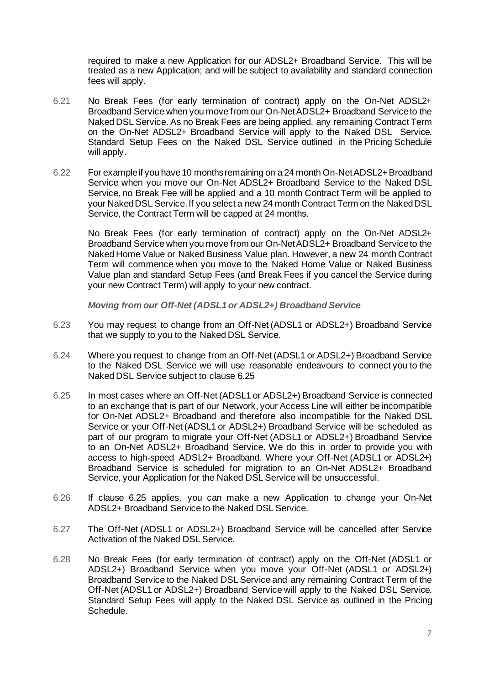required to make a new Application for our ADSL2+ Broadband Service. This will be treated as a new Application; and will be subject to availability and standard connection fees will apply.

- 6.21 No Break Fees (for early termination of contract) apply on the On-Net ADSL2+ Broadband Service when you move from our On-NetADSL2+ Broadband Serviceto the Naked DSL Service. As no Break Fees are being applied, any remaining Contract Term on the On-Net ADSL2+ Broadband Service will apply to the Naked DSL Service. Standard Setup Fees on the Naked DSL Service outlined in the Pricing Schedule will apply.
- 6.22 For example if you have 10 months remaining on a 24 month On-Net ADSL2+ Broadband Service when you move our On-Net ADSL2+ Broadband Service to the Naked DSL Service, no Break Fee will be applied and a 10 month Contract Term will be applied to your Naked DSL Service. If you select a new 24 month Contract Term on the Naked DSL Service, the Contract Term will be capped at 24 months.

No Break Fees (for early termination of contract) apply on the On-Net ADSL2+ Broadband Service when you move from our On-NetADSL2+ Broadband Serviceto the Naked Home Value or Naked Business Value plan. However, a new 24 month Contract Term will commence when you move to the Naked Home Value or Naked Business Value plan and standard Setup Fees (and Break Fees if you cancel the Service during your new Contract Term) will apply to your new contract.

*Moving from our Off-Net (ADSL1 or ADSL2+) Broadband Service*

- 6.23 You may request to change from an Off-Net (ADSL1 or ADSL2+) Broadband Service that we supply to you to the Naked DSL Service.
- 6.24 Where you request to change from an Off-Net (ADSL1 or ADSL2+) Broadband Service to the Naked DSL Service we will use reasonable endeavours to connect you to the Naked DSL Service subject to clause 6.25
- 6.25 In most cases where an Off-Net (ADSL1 or ADSL2+) Broadband Service is connected to an exchange that is part of our Network, your Access Line will either be incompatible for On-Net ADSL2+ Broadband and therefore also incompatible for the Naked DSL Service or your Off-Net (ADSL1 or ADSL2+) Broadband Service will be scheduled as part of our program to migrate your Off-Net (ADSL1 or ADSL2+) Broadband Service to an On-Net ADSL2+ Broadband Service. We do this in order to provide you with access to high-speed ADSL2+ Broadband. Where your Off-Net (ADSL1 or ADSL2+) Broadband Service is scheduled for migration to an On-Net ADSL2+ Broadband Service, your Application for the Naked DSL Service will be unsuccessful.
- 6.26 If clause 6.25 applies, you can make a new Application to change your On-Net ADSL2+ Broadband Service to the Naked DSL Service.
- 6.27 The Off-Net (ADSL1 or ADSL2+) Broadband Service will be cancelled after Service Activation of the Naked DSL Service.
- 6.28 No Break Fees (for early termination of contract) apply on the Off-Net (ADSL1 or ADSL2+) Broadband Service when you move your Off-Net (ADSL1 or ADSL2+) Broadband Service to the Naked DSL Service and any remaining Contract Term of the Off-Net (ADSL1 or ADSL2+) Broadband Service will apply to the Naked DSL Service. Standard Setup Fees will apply to the Naked DSL Service as outlined in the Pricing Schedule.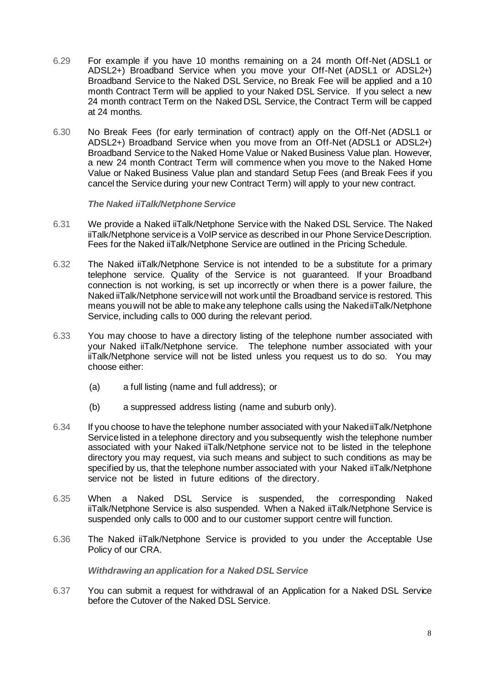- 6.29 For example if you have 10 months remaining on a 24 month Off-Net (ADSL1 or ADSL2+) Broadband Service when you move your Off-Net (ADSL1 or ADSL2+) Broadband Service to the Naked DSL Service, no Break Fee will be applied and a 10 month Contract Term will be applied to your Naked DSL Service. If you select a new 24 month contract Term on the Naked DSL Service, the Contract Term will be capped at 24 months.
- 6.30 No Break Fees (for early termination of contract) apply on the Off-Net (ADSL1 or ADSL2+) Broadband Service when you move from an Off-Net (ADSL1 or ADSL2+) Broadband Service to the Naked Home Value or Naked Business Value plan. However, a new 24 month Contract Term will commence when you move to the Naked Home Value or Naked Business Value plan and standard Setup Fees (and Break Fees if you cancel the Service during your new Contract Term) will apply to your new contract.

*The Naked iiTalk/Netphone Service*

- 6.31 We provide a Naked iiTalk/Netphone Service with the Naked DSL Service. The Naked iiTalk/Netphone serviceis a VoIP service as described in our Phone Service Description. Fees for the Naked iiTalk/Netphone Service are outlined in the Pricing Schedule.
- 6.32 The Naked iiTalk/Netphone Service is not intended to be a substitute for a primary telephone service. Quality of the Service is not guaranteed. If your Broadband connection is not working, is set up incorrectly or when there is a power failure, the Naked iiTalk/Netphone servicewill not work until the Broadband service is restored. This means youwill not be able to make any telephone calls using the Naked iiTalk/Netphone Service, including calls to 000 during the relevant period.
- 6.33 You may choose to have a directory listing of the telephone number associated with your Naked iiTalk/Netphone service. The telephone number associated with your iiTalk/Netphone service will not be listed unless you request us to do so. You may choose either:
	- (a) a full listing (name and full address); or
	- (b) a suppressed address listing (name and suburb only).
- 6.34 If you choose to have the telephone number associated with your Naked iiTalk/Netphone Servicelisted in a telephone directory and you subsequently wish the telephone number associated with your Naked iiTalk/Netphone service not to be listed in the telephone directory you may request, via such means and subject to such conditions as may be specified by us, that the telephone number associated with your Naked iiTalk/Netphone service not be listed in future editions of the directory.
- 6.35 When a Naked DSL Service is suspended, the corresponding Naked iiTalk/Netphone Service is also suspended. When a Naked iiTalk/Netphone Service is suspended only calls to 000 and to our customer support centre will function.
- 6.36 The Naked iiTalk/Netphone Service is provided to you under the Acceptable Use Policy of our CRA.

*Withdrawing an application for a Naked DSL Service*

6.37 You can submit a request for withdrawal of an Application for a Naked DSL Service before the Cutover of the Naked DSL Service.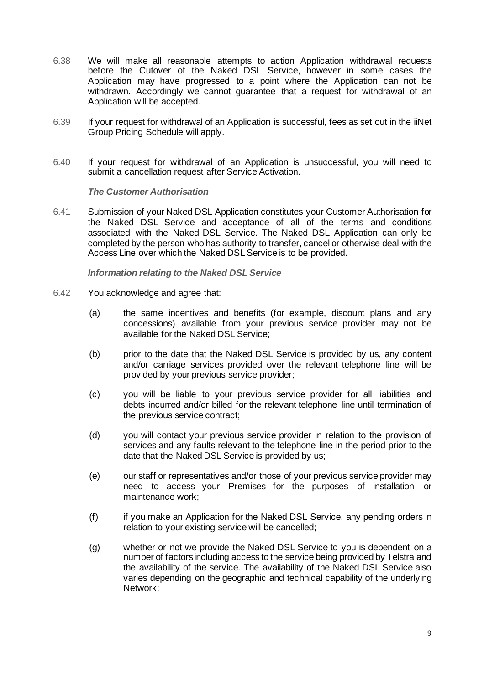- 6.38 We will make all reasonable attempts to action Application withdrawal requests before the Cutover of the Naked DSL Service, however in some cases the Application may have progressed to a point where the Application can not be withdrawn. Accordingly we cannot guarantee that a request for withdrawal of an Application will be accepted.
- 6.39 If your request for withdrawal of an Application is successful, fees as set out in the iiNet Group Pricing Schedule will apply.
- 6.40 If your request for withdrawal of an Application is unsuccessful, you will need to submit a cancellation request after Service Activation.

*The Customer Authorisation*

6.41 Submission of your Naked DSL Application constitutes your Customer Authorisation for the Naked DSL Service and acceptance of all of the terms and conditions associated with the Naked DSL Service. The Naked DSL Application can only be completed by the person who has authority to transfer, cancel or otherwise deal with the Access Line over which the Naked DSL Service is to be provided.

*Information relating to the Naked DSL Service*

- 6.42 You acknowledge and agree that:
	- (a) the same incentives and benefits (for example, discount plans and any concessions) available from your previous service provider may not be available for the Naked DSL Service;
	- (b) prior to the date that the Naked DSL Service is provided by us, any content and/or carriage services provided over the relevant telephone line will be provided by your previous service provider;
	- (c) you will be liable to your previous service provider for all liabilities and debts incurred and/or billed for the relevant telephone line until termination of the previous service contract;
	- (d) you will contact your previous service provider in relation to the provision of services and any faults relevant to the telephone line in the period prior to the date that the Naked DSL Service is provided by us;
	- (e) our staff or representatives and/or those of your previous service provider may need to access your Premises for the purposes of installation or maintenance work;
	- (f) if you make an Application for the Naked DSL Service, any pending orders in relation to your existing service will be cancelled;
	- (g) whether or not we provide the Naked DSL Service to you is dependent on a number of factors including access to the service being provided by Telstra and the availability of the service. The availability of the Naked DSL Service also varies depending on the geographic and technical capability of the underlying Network;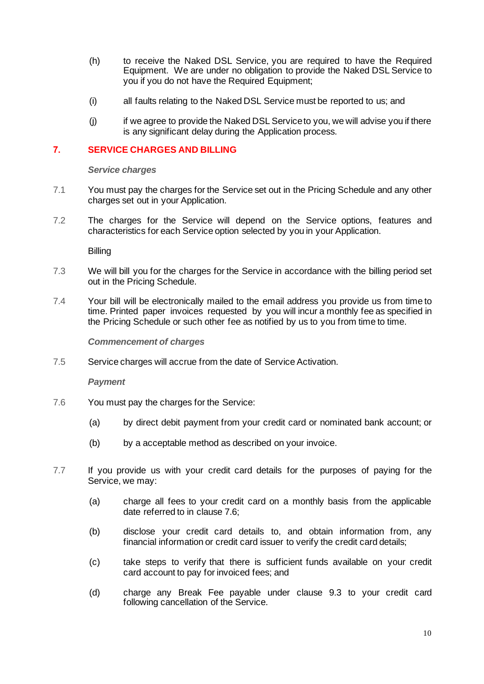- (h) to receive the Naked DSL Service, you are required to have the Required Equipment. We are under no obligation to provide the Naked DSL Service to you if you do not have the Required Equipment;
- (i) all faults relating to the Naked DSL Service must be reported to us; and
- (j) if we agree to provide the Naked DSL Serviceto you, we will advise you if there is any significant delay during the Application process.

## **7. SERVICE CHARGES AND BILLING**

*Service charges*

- 7.1 You must pay the charges for the Service set out in the Pricing Schedule and any other charges set out in your Application.
- 7.2 The charges for the Service will depend on the Service options, features and characteristics for each Service option selected by you in your Application.

**Billing** 

- 7.3 We will bill you for the charges for the Service in accordance with the billing period set out in the Pricing Schedule.
- 7.4 Your bill will be electronically mailed to the email address you provide us from time to time. Printed paper invoices requested by you will incur a monthly fee as specified in the Pricing Schedule or such other fee as notified by us to you from time to time.

*Commencement of charges*

7.5 Service charges will accrue from the date of Service Activation.

*Payment*

- 7.6 You must pay the charges for the Service:
	- (a) by direct debit payment from your credit card or nominated bank account; or
	- (b) by a acceptable method as described on your invoice.
- 7.7 If you provide us with your credit card details for the purposes of paying for the Service, we may:
	- (a) charge all fees to your credit card on a monthly basis from the applicable date referred to in clause 7.6;
	- (b) disclose your credit card details to, and obtain information from, any financial information or credit card issuer to verify the credit card details;
	- (c) take steps to verify that there is sufficient funds available on your credit card account to pay for invoiced fees; and
	- (d) charge any Break Fee payable under clause 9.3 to your credit card following cancellation of the Service.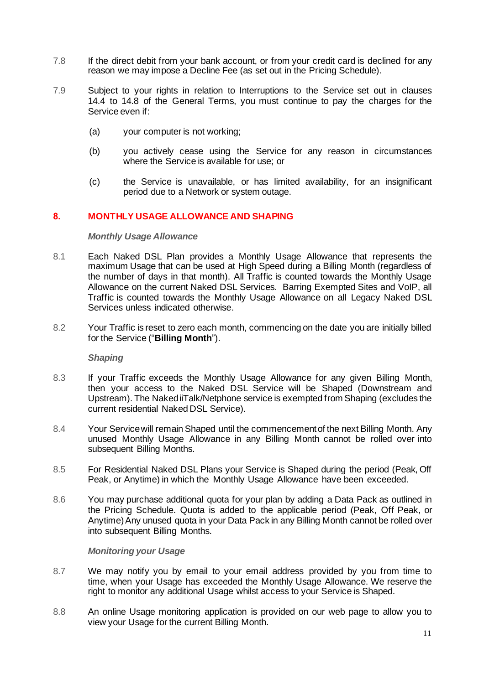- 7.8 If the direct debit from your bank account, or from your credit card is declined for any reason we may impose a Decline Fee (as set out in the Pricing Schedule).
- 7.9 Subject to your rights in relation to Interruptions to the Service set out in clauses 14.4 to 14.8 of the General Terms, you must continue to pay the charges for the Service even if:
	- (a) your computer is not working;
	- (b) you actively cease using the Service for any reason in circumstances where the Service is available for use; or
	- (c) the Service is unavailable, or has limited availability, for an insignificant period due to a Network or system outage.

## **8. MONTHLY USAGE ALLOWANCE AND SHAPING**

#### *Monthly Usage Allowance*

- 8.1 Each Naked DSL Plan provides a Monthly Usage Allowance that represents the maximum Usage that can be used at High Speed during a Billing Month (regardless of the number of days in that month). All Traffic is counted towards the Monthly Usage Allowance on the current Naked DSL Services. Barring Exempted Sites and VoIP, all Traffic is counted towards the Monthly Usage Allowance on all Legacy Naked DSL Services unless indicated otherwise.
- 8.2 Your Traffic is reset to zero each month, commencing on the date you are initially billed for the Service ("**Billing Month**").

*Shaping*

- 8.3 If your Traffic exceeds the Monthly Usage Allowance for any given Billing Month, then your access to the Naked DSL Service will be Shaped (Downstream and Upstream). The NakediiTalk/Netphone service is exempted from Shaping (excludes the current residential Naked DSL Service).
- 8.4 Your Service will remain Shaped until the commencement of the next Billing Month. Any unused Monthly Usage Allowance in any Billing Month cannot be rolled over into subsequent Billing Months.
- 8.5 For Residential Naked DSL Plans your Service is Shaped during the period (Peak, Off Peak, or Anytime) in which the Monthly Usage Allowance have been exceeded.
- 8.6 You may purchase additional quota for your plan by adding a Data Pack as outlined in the Pricing Schedule. Quota is added to the applicable period (Peak, Off Peak, or Anytime)Any unused quota in your Data Pack in any Billing Month cannot be rolled over into subsequent Billing Months.

### *Monitoring your Usage*

- 8.7 We may notify you by email to your email address provided by you from time to time, when your Usage has exceeded the Monthly Usage Allowance. We reserve the right to monitor any additional Usage whilst access to your Service is Shaped.
- 8.8 An online Usage monitoring application is provided on our web page to allow you to view your Usage for the current Billing Month.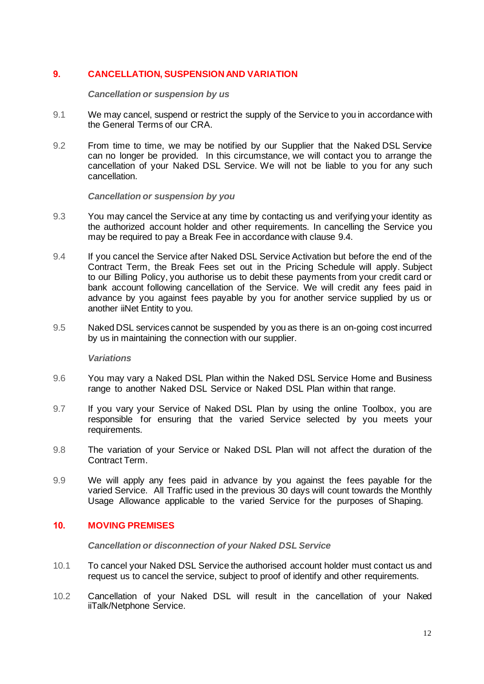# **9. CANCELLATION, SUSPENSION AND VARIATION**

*Cancellation or suspension by us*

- 9.1 We may cancel, suspend or restrict the supply of the Service to you in accordance with the General Terms of our CRA.
- 9.2 From time to time, we may be notified by our Supplier that the Naked DSL Service can no longer be provided. In this circumstance, we will contact you to arrange the cancellation of your Naked DSL Service. We will not be liable to you for any such cancellation.

*Cancellation or suspension by you*

- 9.3 You may cancel the Service at any time by contacting us and verifying your identity as the authorized account holder and other requirements. In cancelling the Service you may be required to pay a Break Fee in accordance with clause 9.4.
- 9.4 If you cancel the Service after Naked DSL Service Activation but before the end of the Contract Term, the Break Fees set out in the Pricing Schedule will apply. Subject to our Billing Policy, you authorise us to debit these payments from your credit card or bank account following cancellation of the Service. We will credit any fees paid in advance by you against fees payable by you for another service supplied by us or another iiNet Entity to you.
- 9.5 Naked DSL services cannot be suspended by you as there is an on-going cost incurred by us in maintaining the connection with our supplier.

### *Variations*

- 9.6 You may vary a Naked DSL Plan within the Naked DSL Service Home and Business range to another Naked DSL Service or Naked DSL Plan within that range.
- 9.7 If you vary your Service of Naked DSL Plan by using the online Toolbox, you are responsible for ensuring that the varied Service selected by you meets your requirements.
- 9.8 The variation of your Service or Naked DSL Plan will not affect the duration of the Contract Term.
- 9.9 We will apply any fees paid in advance by you against the fees payable for the varied Service. All Traffic used in the previous 30 days will count towards the Monthly Usage Allowance applicable to the varied Service for the purposes of Shaping.

## **10. MOVING PREMISES**

*Cancellation or disconnection of your Naked DSL Service*

- 10.1 To cancel your Naked DSL Service the authorised account holder must contact us and request us to cancel the service, subject to proof of identify and other requirements.
- 10.2 Cancellation of your Naked DSL will result in the cancellation of your Naked iiTalk/Netphone Service.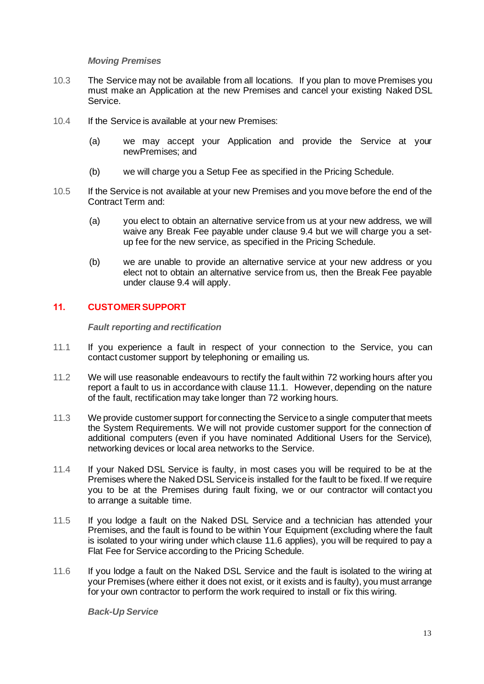## *Moving Premises*

- 10.3 The Service may not be available from all locations. If you plan to move Premises you must make an Application at the new Premises and cancel your existing Naked DSL Service.
- 10.4 If the Service is available at your new Premises:
	- (a) we may accept your Application and provide the Service at your newPremises; and
	- (b) we will charge you a Setup Fee as specified in the Pricing Schedule.
- 10.5 If the Service is not available at your new Premises and you move before the end of the Contract Term and:
	- (a) you elect to obtain an alternative service from us at your new address, we will waive any Break Fee payable under clause 9.4 but we will charge you a setup fee for the new service, as specified in the Pricing Schedule.
	- (b) we are unable to provide an alternative service at your new address or you elect not to obtain an alternative service from us, then the Break Fee payable under clause 9.4 will apply.

# **11. CUSTOMER SUPPORT**

*Fault reporting and rectification*

- 11.1 If you experience a fault in respect of your connection to the Service, you can contact customer support by telephoning or emailing us.
- 11.2 We will use reasonable endeavours to rectify the fault within 72 working hours after you report a fault to us in accordance with clause 11.1. However, depending on the nature of the fault, rectification may take longer than 72 working hours.
- 11.3 We provide customer support for connecting the Service to a single computer that meets the System Requirements. We will not provide customer support for the connection of additional computers (even if you have nominated Additional Users for the Service), networking devices or local area networks to the Service.
- 11.4 If your Naked DSL Service is faulty, in most cases you will be required to be at the Premises where the Naked DSL Serviceis installed for the fault to be fixed. If we require you to be at the Premises during fault fixing, we or our contractor will contact you to arrange a suitable time.
- 11.5 If you lodge a fault on the Naked DSL Service and a technician has attended your Premises, and the fault is found to be within Your Equipment (excluding where the fault is isolated to your wiring under which clause 11.6 applies), you will be required to pay a Flat Fee for Service according to the Pricing Schedule.
- 11.6 If you lodge a fault on the Naked DSL Service and the fault is isolated to the wiring at your Premises (where either it does not exist, or it exists and is faulty), you must arrange for your own contractor to perform the work required to install or fix this wiring.

*Back-Up Service*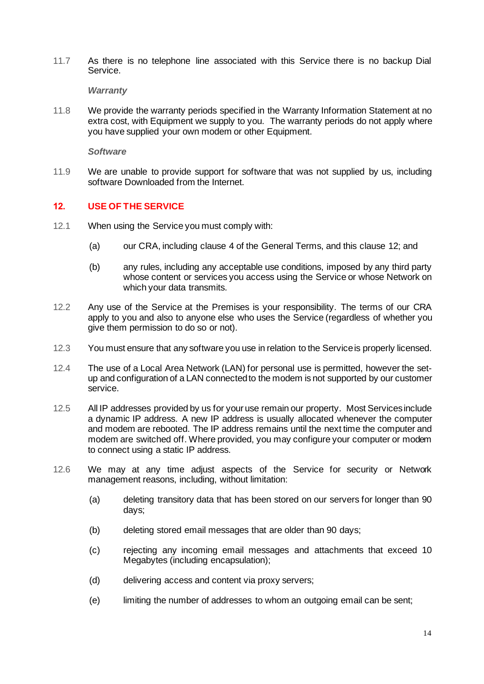11.7 As there is no telephone line associated with this Service there is no backup Dial Service.

*Warranty*

11.8 We provide the warranty periods specified in the Warranty Information Statement at no extra cost, with Equipment we supply to you. The warranty periods do not apply where you have supplied your own modem or other Equipment.

*Software*

11.9 We are unable to provide support for software that was not supplied by us, including software Downloaded from the Internet.

## **12. USE OF THE SERVICE**

- 12.1 When using the Service you must comply with:
	- (a) our CRA, including clause 4 of the General Terms, and this clause 12; and
	- (b) any rules, including any acceptable use conditions, imposed by any third party whose content or services you access using the Service or whose Network on which your data transmits.
- 12.2 Any use of the Service at the Premises is your responsibility. The terms of our CRA apply to you and also to anyone else who uses the Service (regardless of whether you give them permission to do so or not).
- 12.3 You must ensure that any software you use in relation to the Serviceis properly licensed.
- 12.4 The use of a Local Area Network (LAN) for personal use is permitted, however the setup and configuration of a LAN connected to the modem is not supported by our customer service.
- 12.5 All IP addresses provided by us for youruse remain our property. Most Services include a dynamic IP address. A new IP address is usually allocated whenever the computer and modem are rebooted. The IP address remains until the next time the computer and modem are switched off. Where provided, you may configure your computer or modem to connect using a static IP address.
- 12.6 We may at any time adjust aspects of the Service for security or Network management reasons, including, without limitation:
	- (a) deleting transitory data that has been stored on our servers for longer than 90 days;
	- (b) deleting stored email messages that are older than 90 days;
	- (c) rejecting any incoming email messages and attachments that exceed 10 Megabytes (including encapsulation);
	- (d) delivering access and content via proxy servers;
	- (e) limiting the number of addresses to whom an outgoing email can be sent;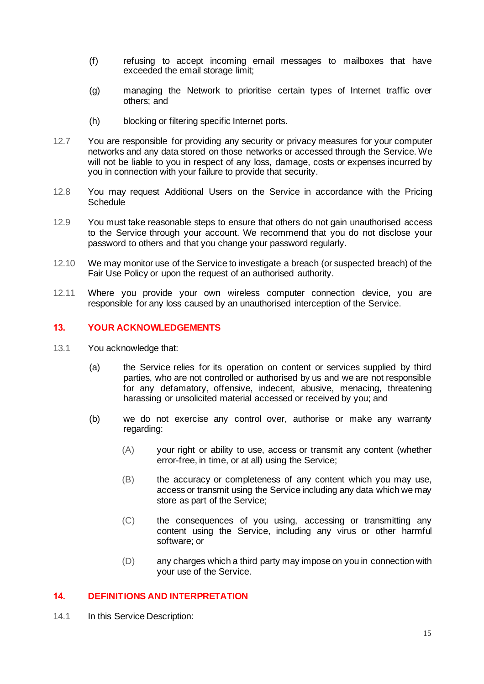- (f) refusing to accept incoming email messages to mailboxes that have exceeded the email storage limit;
- (g) managing the Network to prioritise certain types of Internet traffic over others; and
- (h) blocking or filtering specific Internet ports.
- 12.7 You are responsible for providing any security or privacy measures for your computer networks and any data stored on those networks or accessed through the Service. We will not be liable to you in respect of any loss, damage, costs or expenses incurred by you in connection with your failure to provide that security.
- 12.8 You may request Additional Users on the Service in accordance with the Pricing **Schedule**
- 12.9 You must take reasonable steps to ensure that others do not gain unauthorised access to the Service through your account. We recommend that you do not disclose your password to others and that you change your password regularly.
- 12.10 We may monitor use of the Service to investigate a breach (or suspected breach) of the Fair Use Policy or upon the request of an authorised authority.
- 12.11 Where you provide your own wireless computer connection device, you are responsible for any loss caused by an unauthorised interception of the Service.

## **13. YOUR ACKNOWLEDGEMENTS**

- 13.1 You acknowledge that:
	- (a) the Service relies for its operation on content or services supplied by third parties, who are not controlled or authorised by us and we are not responsible for any defamatory, offensive, indecent, abusive, menacing, threatening harassing or unsolicited material accessed or received by you; and
	- (b) we do not exercise any control over, authorise or make any warranty regarding:
		- (A) your right or ability to use, access or transmit any content (whether error-free, in time, or at all) using the Service;
		- (B) the accuracy or completeness of any content which you may use, access or transmit using the Service including any data which we may store as part of the Service;
		- (C) the consequences of you using, accessing or transmitting any content using the Service, including any virus or other harmful software; or
		- (D) any charges which a third party may impose on you in connection with your use of the Service.

## **14. DEFINITIONS AND INTERPRETATION**

14.1 In this Service Description: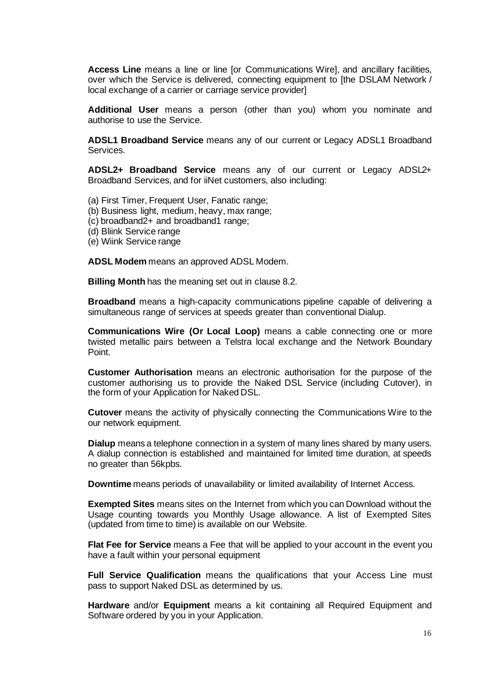**Access Line** means a line or line [or Communications Wire], and ancillary facilities, over which the Service is delivered, connecting equipment to [the DSLAM Network / local exchange of a carrier or carriage service provider]

**Additional User** means a person (other than you) whom you nominate and authorise to use the Service.

**ADSL1 Broadband Service** means any of our current or Legacy ADSL1 Broadband Services.

**ADSL2+ Broadband Service** means any of our current or Legacy ADSL2+ Broadband Services, and for iiNet customers, also including:

(a) First Timer, Frequent User, Fanatic range;

- (b) Business light, medium, heavy, max range;
- (c) broadband2+ and broadband1 range;
- (d) Bliink Service range
- (e) Wiink Service range

**ADSL Modem** means an approved ADSL Modem.

**Billing Month** has the meaning set out in clause 8.2.

**Broadband** means a high-capacity communications pipeline capable of delivering a simultaneous range of services at speeds greater than conventional Dialup.

**Communications Wire (Or Local Loop)** means a cable connecting one or more twisted metallic pairs between a Telstra local exchange and the Network Boundary Point.

**Customer Authorisation** means an electronic authorisation for the purpose of the customer authorising us to provide the Naked DSL Service (including Cutover), in the form of your Application for Naked DSL.

**Cutover** means the activity of physically connecting the Communications Wire to the our network equipment.

**Dialup** means a telephone connection in a system of many lines shared by many users. A dialup connection is established and maintained for limited time duration, at speeds no greater than 56kpbs.

**Downtime** means periods of unavailability or limited availability of Internet Access.

**Exempted Sites** means sites on the Internet from which you can Download without the Usage counting towards you Monthly Usage allowance. A list of Exempted Sites (updated from time to time) is available on our Website.

**Flat Fee for Service** means a Fee that will be applied to your account in the event you have a fault within your personal equipment

**Full Service Qualification** means the qualifications that your Access Line must pass to support Naked DSL as determined by us.

**Hardware** and/or **Equipment** means a kit containing all Required Equipment and Software ordered by you in your Application.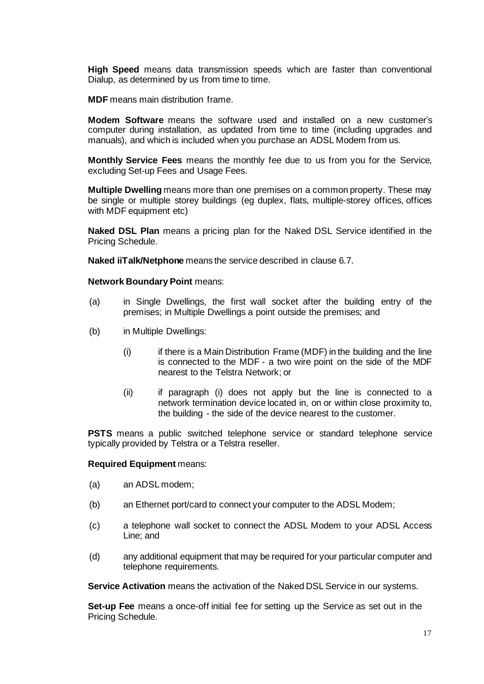**High Speed** means data transmission speeds which are faster than conventional Dialup, as determined by us from time to time.

**MDF** means main distribution frame.

**Modem Software** means the software used and installed on a new customer's computer during installation, as updated from time to time (including upgrades and manuals), and which is included when you purchase an ADSL Modem from us.

**Monthly Service Fees** means the monthly fee due to us from you for the Service, excluding Set-up Fees and Usage Fees.

**Multiple Dwelling** means more than one premises on a common property. These may be single or multiple storey buildings (eg duplex, flats, multiple-storey offices, offices with MDF equipment etc)

**Naked DSL Plan** means a pricing plan for the Naked DSL Service identified in the Pricing Schedule.

**Naked iiTalk/Netphone** means the service described in clause 6.7.

#### **Network Boundary Point** means:

- (a) in Single Dwellings, the first wall socket after the building entry of the premises; in Multiple Dwellings a point outside the premises; and
- (b) in Multiple Dwellings:
	- (i) if there is a Main Distribution Frame (MDF) in the building and the line is connected to the MDF - a two wire point on the side of the MDF nearest to the Telstra Network; or
	- (ii) if paragraph (i) does not apply but the line is connected to a network termination device located in, on or within close proximity to, the building - the side of the device nearest to the customer.

**PSTS** means a public switched telephone service or standard telephone service typically provided by Telstra or a Telstra reseller.

#### **Required Equipment** means:

- (a) an ADSL modem;
- (b) an Ethernet port/card to connect your computer to the ADSL Modem;
- (c) a telephone wall socket to connect the ADSL Modem to your ADSL Access Line; and
- (d) any additional equipment that may be required for your particular computer and telephone requirements.

**Service Activation** means the activation of the Naked DSL Service in our systems.

**Set-up Fee** means a once-off initial fee for setting up the Service as set out in the Pricing Schedule.